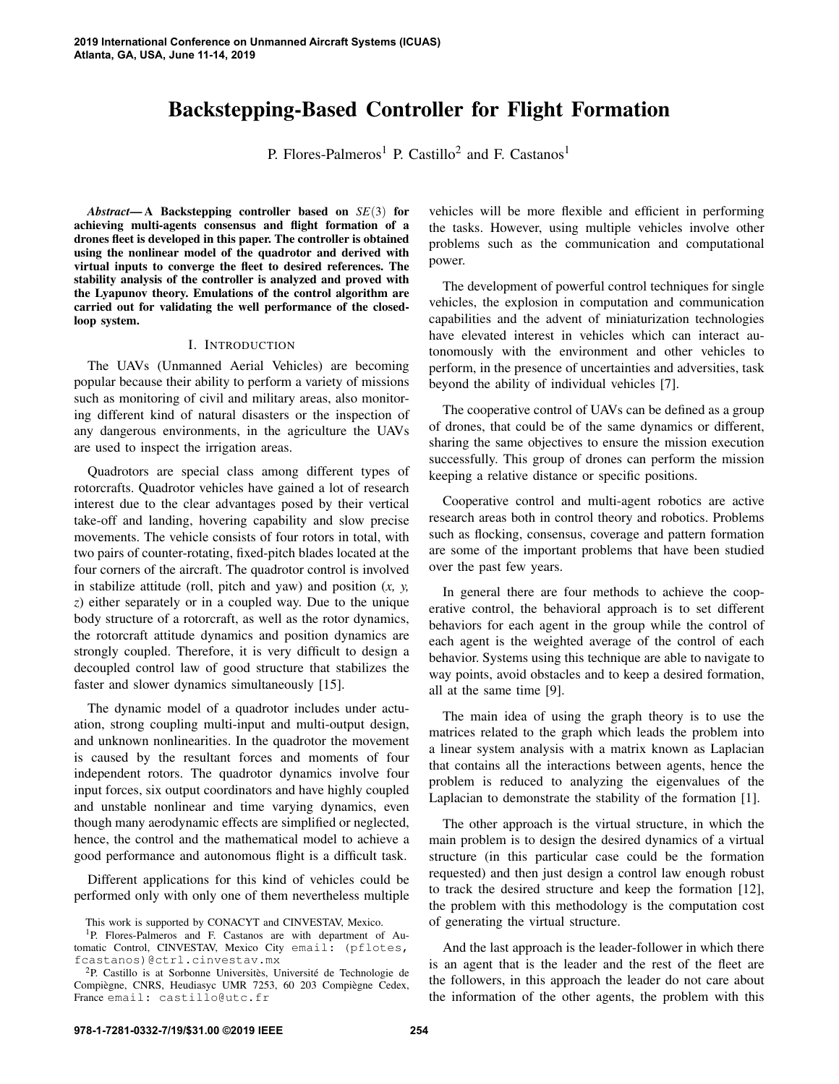# Backstepping-Based Controller for Flight Formation

P. Flores-Palmeros<sup>1</sup> P. Castillo<sup>2</sup> and F. Castanos<sup>1</sup>

*Abstract*— A Backstepping controller based on *SE*(3) for achieving multi-agents consensus and flight formation of a drones fleet is developed in this paper. The controller is obtained using the nonlinear model of the quadrotor and derived with virtual inputs to converge the fleet to desired references. The stability analysis of the controller is analyzed and proved with the Lyapunov theory. Emulations of the control algorithm are carried out for validating the well performance of the closedloop system.

#### I. INTRODUCTION

The UAVs (Unmanned Aerial Vehicles) are becoming popular because their ability to perform a variety of missions such as monitoring of civil and military areas, also monitoring different kind of natural disasters or the inspection of any dangerous environments, in the agriculture the UAVs are used to inspect the irrigation areas.

Quadrotors are special class among different types of rotorcrafts. Quadrotor vehicles have gained a lot of research interest due to the clear advantages posed by their vertical take-off and landing, hovering capability and slow precise movements. The vehicle consists of four rotors in total, with two pairs of counter-rotating, fixed-pitch blades located at the four corners of the aircraft. The quadrotor control is involved in stabilize attitude (roll, pitch and yaw) and position (*x, y, z*) either separately or in a coupled way. Due to the unique body structure of a rotorcraft, as well as the rotor dynamics, the rotorcraft attitude dynamics and position dynamics are strongly coupled. Therefore, it is very difficult to design a decoupled control law of good structure that stabilizes the faster and slower dynamics simultaneously [15].

The dynamic model of a quadrotor includes under actuation, strong coupling multi-input and multi-output design, and unknown nonlinearities. In the quadrotor the movement is caused by the resultant forces and moments of four independent rotors. The quadrotor dynamics involve four input forces, six output coordinators and have highly coupled and unstable nonlinear and time varying dynamics, even though many aerodynamic effects are simplified or neglected, hence, the control and the mathematical model to achieve a good performance and autonomous flight is a difficult task.

Different applications for this kind of vehicles could be performed only with only one of them nevertheless multiple vehicles will be more flexible and efficient in performing the tasks. However, using multiple vehicles involve other problems such as the communication and computational power.

The development of powerful control techniques for single vehicles, the explosion in computation and communication capabilities and the advent of miniaturization technologies have elevated interest in vehicles which can interact autonomously with the environment and other vehicles to perform, in the presence of uncertainties and adversities, task beyond the ability of individual vehicles [7].

The cooperative control of UAVs can be defined as a group of drones, that could be of the same dynamics or different, sharing the same objectives to ensure the mission execution successfully. This group of drones can perform the mission keeping a relative distance or specific positions.

Cooperative control and multi-agent robotics are active research areas both in control theory and robotics. Problems such as flocking, consensus, coverage and pattern formation are some of the important problems that have been studied over the past few years.

In general there are four methods to achieve the cooperative control, the behavioral approach is to set different behaviors for each agent in the group while the control of each agent is the weighted average of the control of each behavior. Systems using this technique are able to navigate to way points, avoid obstacles and to keep a desired formation, all at the same time [9].

The main idea of using the graph theory is to use the matrices related to the graph which leads the problem into a linear system analysis with a matrix known as Laplacian that contains all the interactions between agents, hence the problem is reduced to analyzing the eigenvalues of the Laplacian to demonstrate the stability of the formation [1].

The other approach is the virtual structure, in which the main problem is to design the desired dynamics of a virtual structure (in this particular case could be the formation requested) and then just design a control law enough robust to track the desired structure and keep the formation [12], the problem with this methodology is the computation cost of generating the virtual structure.

And the last approach is the leader-follower in which there is an agent that is the leader and the rest of the fleet are the followers, in this approach the leader do not care about the information of the other agents, the problem with this

This work is supported by CONACYT and CINVESTAV, Mexico.

<sup>&</sup>lt;sup>1</sup>P. Flores-Palmeros and F. Castanos are with department of Automatic Control, CINVESTAV, Mexico City email: (pflotes, fcastanos)@ctrl.cinvestav.mx

 $2P$ . Castillo is at Sorbonne Universitès, Université de Technologie de Compiègne, CNRS, Heudiasyc UMR 7253, 60 203 Compiègne Cedex, France email: castillo@utc.fr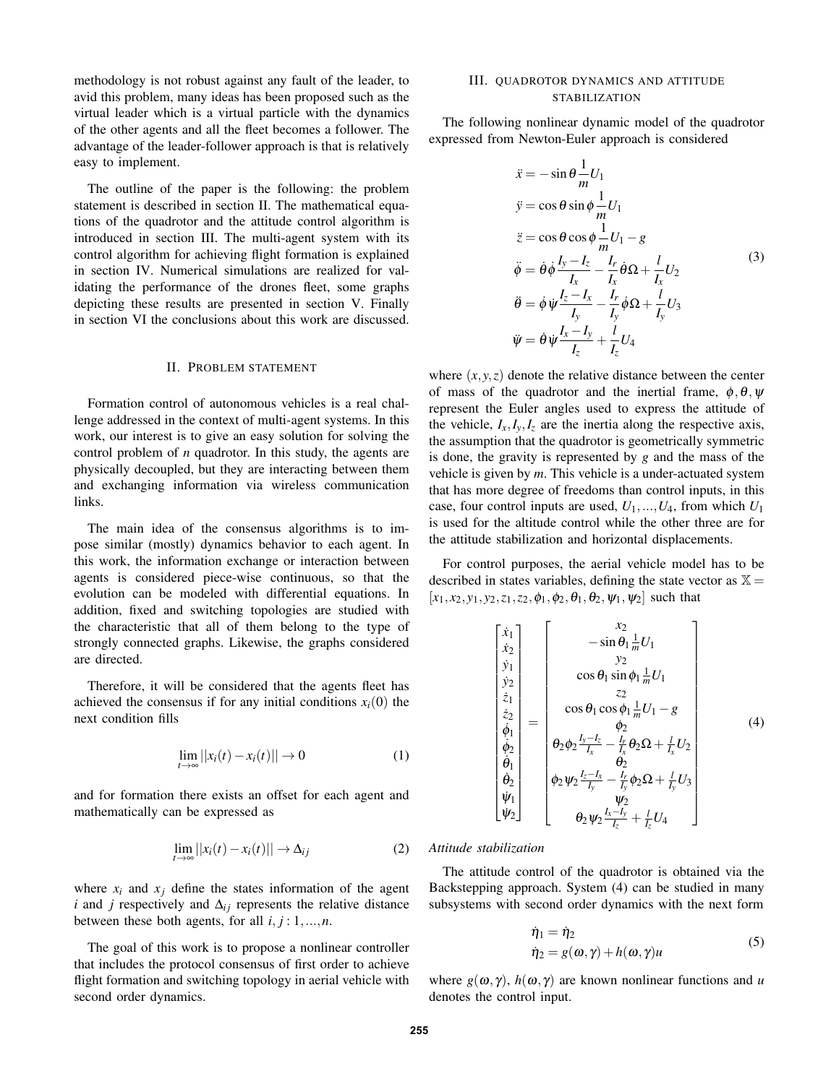methodology is not robust against any fault of the leader, to avid this problem, many ideas has been proposed such as the virtual leader which is a virtual particle with the dynamics of the other agents and all the fleet becomes a follower. The advantage of the leader-follower approach is that is relatively easy to implement.

The outline of the paper is the following: the problem statement is described in section II. The mathematical equations of the quadrotor and the attitude control algorithm is introduced in section III. The multi-agent system with its control algorithm for achieving flight formation is explained in section IV. Numerical simulations are realized for validating the performance of the drones fleet, some graphs depicting these results are presented in section V. Finally in section VI the conclusions about this work are discussed.

#### II. PROBLEM STATEMENT

Formation control of autonomous vehicles is a real challenge addressed in the context of multi-agent systems. In this work, our interest is to give an easy solution for solving the control problem of *n* quadrotor. In this study, the agents are physically decoupled, but they are interacting between them and exchanging information via wireless communication links.

The main idea of the consensus algorithms is to impose similar (mostly) dynamics behavior to each agent. In this work, the information exchange or interaction between agents is considered piece-wise continuous, so that the evolution can be modeled with differential equations. In addition, fixed and switching topologies are studied with the characteristic that all of them belong to the type of strongly connected graphs. Likewise, the graphs considered are directed.

Therefore, it will be considered that the agents fleet has achieved the consensus if for any initial conditions  $x_i(0)$  the next condition fills

$$
\lim_{t \to \infty} ||x_i(t) - x_i(t)|| \to 0 \tag{1}
$$

and for formation there exists an offset for each agent and mathematically can be expressed as

$$
\lim_{t \to \infty} ||x_i(t) - x_i(t)|| \to \Delta_{ij}
$$
 (2)

where  $x_i$  and  $x_j$  define the states information of the agent *i* and *j* respectively and  $\Delta_{ij}$  represents the relative distance between these both agents, for all  $i, j: 1, \ldots, n$ .

The goal of this work is to propose a nonlinear controller that includes the protocol consensus of first order to achieve flight formation and switching topology in aerial vehicle with second order dynamics.

### III. QUADROTOR DYNAMICS AND ATTITUDE STABILIZATION

The following nonlinear dynamic model of the quadrotor expressed from Newton-Euler approach is considered

$$
\begin{aligned}\n\ddot{x} &= -\sin\theta \frac{1}{m} U_1 \\
\dot{y} &= \cos\theta \sin\phi \frac{1}{m} U_1 \\
\ddot{z} &= \cos\theta \cos\phi \frac{1}{m} U_1 - g \\
\ddot{\phi} &= \dot{\theta} \dot{\phi} \frac{I_y - I_z}{I_x} - \frac{I_r}{I_x} \dot{\theta} \Omega + \frac{l}{I_x} U_2 \\
\ddot{\theta} &= \dot{\phi} \dot{\psi} \frac{I_z - I_x}{I_y} - \frac{I_r}{I_y} \dot{\phi} \Omega + \frac{l}{I_y} U_3 \\
\ddot{\psi} &= \dot{\theta} \dot{\psi} \frac{I_x - I_y}{I_z} + \frac{l}{I_z} U_4\n\end{aligned} \tag{3}
$$

where  $(x, y, z)$  denote the relative distance between the center of mass of the quadrotor and the inertial frame,  $\phi$ ,  $\theta$ ,  $\psi$ represent the Euler angles used to express the attitude of the vehicle,  $I_x, I_y, I_z$  are the inertia along the respective axis, the assumption that the quadrotor is geometrically symmetric is done, the gravity is represented by *g* and the mass of the vehicle is given by *m*. This vehicle is a under-actuated system that has more degree of freedoms than control inputs, in this case, four control inputs are used,  $U_1, ..., U_4$ , from which  $U_1$ is used for the altitude control while the other three are for the attitude stabilization and horizontal displacements.

For control purposes, the aerial vehicle model has to be described in states variables, defining the state vector as  $X =$  $[x_1, x_2, y_1, y_2, z_1, z_2, \phi_1, \phi_2, \theta_1, \theta_2, \psi_1, \psi_2]$  such that

$$
\begin{bmatrix} \dot{x}_1 \\ \dot{x}_2 \\ \dot{y}_1 \\ \dot{z}_2 \\ \dot{z}_1 \\ \dot{\phi}_1 \\ \dot{\phi}_2 \\ \dot{\phi}_2 \\ \dot{\phi}_2 \\ \dot{\psi}_1 \\ \dot{\psi}_2 \end{bmatrix} = \begin{bmatrix} x_2 \\ -\sin \theta_1 \frac{1}{m} U_1 \\ y_2 \\ \cos \theta_1 \sin \phi_1 \frac{1}{m} U_1 \\ z_2 \\ \cos \theta_1 \cos \phi_1 \frac{1}{m} U_1 - g \\ \phi_2 \\ \phi_2 \frac{I_y - I_z}{I_x} - \frac{I_r}{I_x} \theta_2 \Omega + \frac{I_r}{I_x} U_2 \\ \theta_2 \\ \phi_2 \psi_2 \frac{I_z - I_x}{I_y} - \frac{I_r}{I_y} \phi_2 \Omega + \frac{I_r}{I_y} U_3 \\ \psi_2 \\ \theta_2 \psi_2 \frac{I_x - I_y}{I_z} + \frac{I_r}{I_z} U_4 \end{bmatrix} \qquad (4)
$$

#### *Attitude stabilization*

The attitude control of the quadrotor is obtained via the Backstepping approach. System (4) can be studied in many subsystems with second order dynamics with the next form

$$
\dot{\eta}_1 = \dot{\eta}_2 \n\dot{\eta}_2 = g(\omega, \gamma) + h(\omega, \gamma)u
$$
\n(5)

where  $g(\omega, \gamma)$ ,  $h(\omega, \gamma)$  are known nonlinear functions and *u* denotes the control input.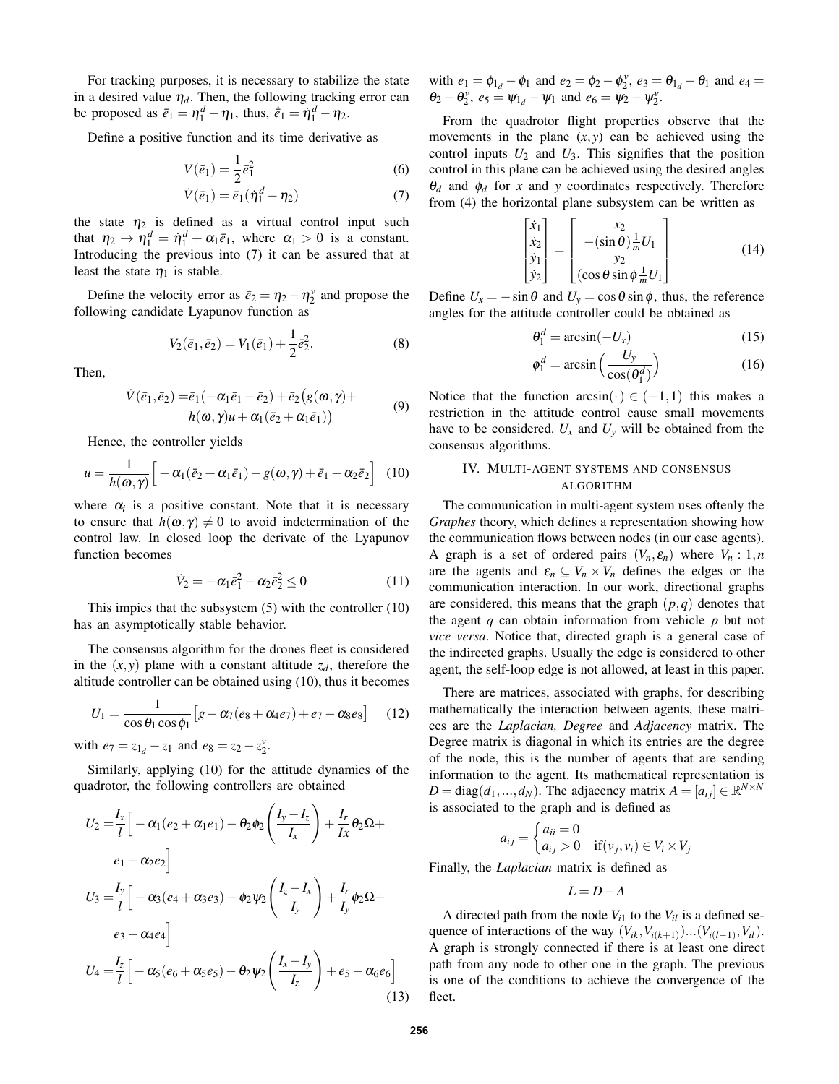For tracking purposes, it is necessary to stabilize the state in a desired value  $\eta_d$ . Then, the following tracking error can be proposed as  $\bar{e}_1 = \eta_1^d - \eta_1$ , thus,  $\dot{\bar{e}}_1 = \dot{\eta}_1^d - \eta_2$ .

Define a positive function and its time derivative as

$$
V(\bar{e}_1) = \frac{1}{2}\bar{e}_1^2\tag{6}
$$

$$
\dot{V}(\bar{e}_1) = \bar{e}_1(\dot{\eta}_1^d - \eta_2) \tag{7}
$$

the state  $\eta_2$  is defined as a virtual control input such that  $\eta_2 \to \eta_1^d = \dot{\eta}_1^d + \alpha_1 \bar{e}_1$ , where  $\alpha_1 > 0$  is a constant. Introducing the previous into (7) it can be assured that at least the state  $\eta_1$  is stable.

Define the velocity error as  $\bar{e}_2 = \eta_2 - \eta_2^{\nu}$  and propose the following candidate Lyapunov function as

$$
V_2(\bar{e}_1, \bar{e}_2) = V_1(\bar{e}_1) + \frac{1}{2}\bar{e}_2^2.
$$
 (8)

Then,

$$
\dot{V}(\bar{e}_1, \bar{e}_2) = \bar{e}_1(-\alpha_1 \bar{e}_1 - \bar{e}_2) + \bar{e}_2(g(\omega, \gamma) + h(\omega, \gamma)u + \alpha_1(\bar{e}_2 + \alpha_1 \bar{e}_1))
$$
\n(9)

Hence, the controller yields

$$
u = \frac{1}{h(\omega, \gamma)} \Big[ -\alpha_1 (\bar{e}_2 + \alpha_1 \bar{e}_1) - g(\omega, \gamma) + \bar{e}_1 - \alpha_2 \bar{e}_2 \Big] \tag{10}
$$

where  $\alpha_i$  is a positive constant. Note that it is necessary to ensure that  $h(\omega, \gamma) \neq 0$  to avoid indetermination of the control law. In closed loop the derivate of the Lyapunov function becomes

$$
\dot{V}_2 = -\alpha_1 \bar{e}_1^2 - \alpha_2 \bar{e}_2^2 \le 0 \tag{11}
$$

This impies that the subsystem (5) with the controller (10) has an asymptotically stable behavior.

The consensus algorithm for the drones fleet is considered in the  $(x, y)$  plane with a constant altitude  $z_d$ , therefore the altitude controller can be obtained using (10), thus it becomes

$$
U_1 = \frac{1}{\cos \theta_1 \cos \phi_1} \left[ g - \alpha_7 (e_8 + \alpha_4 e_7) + e_7 - \alpha_8 e_8 \right]
$$
 (12)

with  $e_7 = z_{1d} - z_1$  and  $e_8 = z_2 - z_2^{\nu}$ .

Similarly, applying (10) for the attitude dynamics of the quadrotor, the following controllers are obtained

$$
U_2 = \frac{I_x}{l} \left[ -\alpha_1 (e_2 + \alpha_1 e_1) - \theta_2 \phi_2 \left( \frac{I_y - I_z}{I_x} \right) + \frac{I_r}{Ix} \theta_2 \Omega +
$$
  
\n
$$
e_1 - \alpha_2 e_2 \right]
$$
  
\n
$$
U_3 = \frac{I_y}{l} \left[ -\alpha_3 (e_4 + \alpha_3 e_3) - \phi_2 \psi_2 \left( \frac{I_z - I_x}{I_y} \right) + \frac{I_r}{I_y} \phi_2 \Omega +
$$
  
\n
$$
e_3 - \alpha_4 e_4 \right]
$$
  
\n
$$
U_4 = \frac{I_z}{l} \left[ -\alpha_5 (e_6 + \alpha_5 e_5) - \theta_2 \psi_2 \left( \frac{I_x - I_y}{I_z} \right) + e_5 - \alpha_6 e_6 \right]
$$
  
\n(13)

with  $e_1 = \phi_{1_d} - \phi_1$  and  $e_2 = \phi_2 - \phi_2^{\nu}$ ,  $e_3 = \theta_{1_d} - \theta_1$  and  $e_4 =$  $\theta_2 - \theta_2^{\nu}$ ,  $e_5 = \psi_1^{\nu} - \psi_1$  and  $e_6 = \psi_2^{\nu} - \psi_2^{\nu}$ .

From the quadrotor flight properties observe that the movements in the plane  $(x, y)$  can be achieved using the control inputs  $U_2$  and  $U_3$ . This signifies that the position control in this plane can be achieved using the desired angles  $\theta_d$  and  $\phi_d$  for *x* and *y* coordinates respectively. Therefore from (4) the horizontal plane subsystem can be written as

$$
\begin{bmatrix} \dot{x}_1 \\ \dot{x}_2 \\ \dot{y}_1 \\ \dot{y}_2 \end{bmatrix} = \begin{bmatrix} x_2 \\ -(\sin \theta) \frac{1}{m} U_1 \\ y_2 \\ (\cos \theta \sin \phi \frac{1}{m} U_1 \end{bmatrix}
$$
(14)

Define  $U_x = -\sin\theta$  and  $U_y = \cos\theta \sin\phi$ , thus, the reference angles for the attitude controller could be obtained as

$$
\theta_1^d = \arcsin(-U_x) \tag{15}
$$

$$
\phi_1^d = \arcsin\left(\frac{U_y}{\cos(\theta_1^d)}\right) \tag{16}
$$

Notice that the function  $arcsin(\cdot) \in (-1,1)$  this makes a restriction in the attitude control cause small movements have to be considered.  $U_x$  and  $U_y$  will be obtained from the consensus algorithms.

### IV. MULTI-AGENT SYSTEMS AND CONSENSUS ALGORITHM

The communication in multi-agent system uses oftenly the *Graphes* theory, which defines a representation showing how the communication flows between nodes (in our case agents). A graph is a set of ordered pairs  $(V_n, \varepsilon_n)$  where  $V_n : 1, n$ are the agents and  $\varepsilon_n \subseteq V_n \times V_n$  defines the edges or the communication interaction. In our work, directional graphs are considered, this means that the graph (*p*,*q*) denotes that the agent *q* can obtain information from vehicle *p* but not *vice versa*. Notice that, directed graph is a general case of the indirected graphs. Usually the edge is considered to other agent, the self-loop edge is not allowed, at least in this paper.

There are matrices, associated with graphs, for describing mathematically the interaction between agents, these matrices are the *Laplacian, Degree* and *Adjacency* matrix. The Degree matrix is diagonal in which its entries are the degree of the node, this is the number of agents that are sending information to the agent. Its mathematical representation is  $D = \text{diag}(d_1, ..., d_N)$ . The adjacency matrix  $A = [a_{ij}] \in \mathbb{R}^{N \times N}$ is associated to the graph and is defined as

$$
a_{ij} = \begin{cases} a_{ii} = 0 \\ a_{ij} > 0 \quad \text{if}(v_j, v_i) \in V_i \times V_j \end{cases}
$$

Finally, the *Laplacian* matrix is defined as

*L* = *D*−*A*

A directed path from the node  $V_{i1}$  to the  $V_{il}$  is a defined sequence of interactions of the way  $(V_{ik}, V_{i(k+1)})... (V_{i(l-1)}, V_{il})$ . A graph is strongly connected if there is at least one direct path from any node to other one in the graph. The previous is one of the conditions to achieve the convergence of the fleet.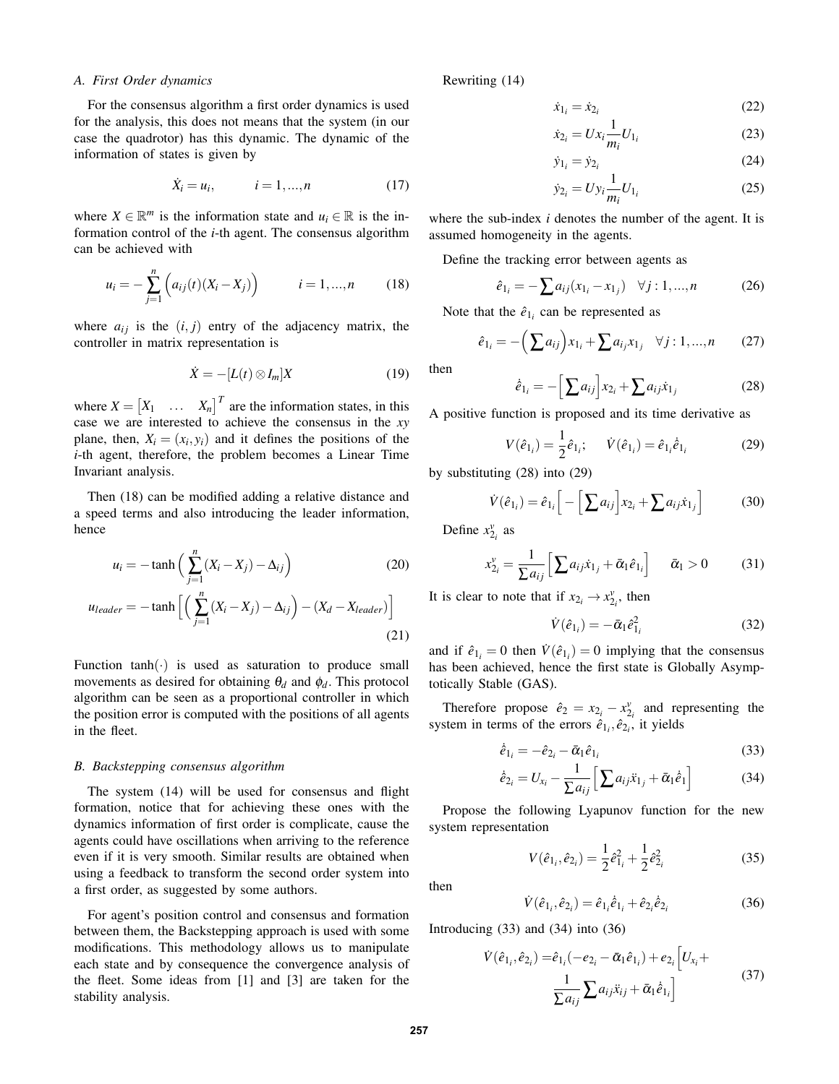## *A. First Order dynamics*

For the consensus algorithm a first order dynamics is used for the analysis, this does not means that the system (in our case the quadrotor) has this dynamic. The dynamic of the information of states is given by

$$
\dot{X}_i = u_i, \qquad i = 1, ..., n \qquad (17)
$$

where  $X \in \mathbb{R}^m$  is the information state and  $u_i \in \mathbb{R}$  is the information control of the *i*-th agent. The consensus algorithm can be achieved with

$$
u_i = -\sum_{j=1}^{n} \left( a_{ij}(t) (X_i - X_j) \right) \qquad i = 1, ..., n \qquad (18)
$$

where  $a_{ij}$  is the  $(i, j)$  entry of the adjacency matrix, the controller in matrix representation is

$$
\dot{X} = -[L(t) \otimes I_m]X \tag{19}
$$

where  $X = \begin{bmatrix} X_1 & \dots & X_n \end{bmatrix}^T$  are the information states, in this case we are interested to achieve the consensus in the *xy* plane, then,  $X_i = (x_i, y_i)$  and it defines the positions of the *i*-th agent, therefore, the problem becomes a Linear Time Invariant analysis.

Then (18) can be modified adding a relative distance and a speed terms and also introducing the leader information, hence

$$
u_i = -\tanh\left(\sum_{j=1}^n (X_i - X_j) - \Delta_{ij}\right)
$$
 (20)

$$
u_{leader} = -\tanh\left[\left(\sum_{j=1}^{n} (X_i - X_j) - \Delta_{ij}\right) - (X_d - X_{leader})\right]
$$
\n(21)

Function  $tanh(\cdot)$  is used as saturation to produce small movements as desired for obtaining  $\theta_d$  and  $\phi_d$ . This protocol algorithm can be seen as a proportional controller in which the position error is computed with the positions of all agents in the fleet.

## *B. Backstepping consensus algorithm*

The system (14) will be used for consensus and flight formation, notice that for achieving these ones with the dynamics information of first order is complicate, cause the agents could have oscillations when arriving to the reference even if it is very smooth. Similar results are obtained when using a feedback to transform the second order system into a first order, as suggested by some authors.

For agent's position control and consensus and formation between them, the Backstepping approach is used with some modifications. This methodology allows us to manipulate each state and by consequence the convergence analysis of the fleet. Some ideas from [1] and [3] are taken for the stability analysis.

Rewriting (14)

$$
\dot{x}_{1_i} = \dot{x}_{2_i} \tag{22}
$$

$$
\dot{x}_{2_i} = U x_i \frac{1}{m_i} U_{1_i} \tag{23}
$$

$$
\dot{y}_{1_i} = \dot{y}_{2_i} \tag{24}
$$

$$
\dot{y}_{2_i} = U y_i \frac{1}{m_i} U_{1_i} \tag{25}
$$

where the sub-index *i* denotes the number of the agent. It is assumed homogeneity in the agents.

Define the tracking error between agents as

$$
\hat{e}_{1_i} = -\sum a_{ij}(x_{1_i} - x_{1_j}) \quad \forall j: 1, ..., n \tag{26}
$$

Note that the  $\hat{e}_{1i}$  can be represented as

$$
\hat{e}_{1_i} = -\left(\sum a_{ij}\right) x_{1_i} + \sum a_{i_j} x_{1_j} \quad \forall j: 1, ..., n \qquad (27)
$$

then

$$
\dot{\hat{e}}_{1_i} = -\Big[\sum a_{ij}\Big]x_{2_i} + \sum a_{ij}\dot{x}_{1_j}
$$
 (28)

A positive function is proposed and its time derivative as

$$
V(\hat{e}_{1_i}) = \frac{1}{2}\hat{e}_{1_i}; \quad \dot{V}(\hat{e}_{1_i}) = \hat{e}_{1_i}\dot{e}_{1_i}
$$
 (29)

by substituting (28) into (29)

$$
\dot{V}(\hat{e}_{1_i}) = \hat{e}_{1_i} \Big[ - \Big[ \sum a_{ij} \Big] x_{2_i} + \sum a_{ij} \dot{x}_{1_j} \Big] \tag{30}
$$

Define  $x_{2_i}^v$  as

$$
x_{2_i}^{\nu} = \frac{1}{\sum a_{ij}} \Big[ \sum a_{ij} \dot{x}_{1_j} + \bar{\alpha}_1 \hat{e}_{1_i} \Big] \quad \bar{\alpha}_1 > 0 \tag{31}
$$

It is clear to note that if  $x_{2i} \rightarrow x_{2i}^{\nu}$ , then

$$
\dot{V}(\hat{e}_{1_i}) = -\bar{\alpha}_1 \hat{e}_{1_i}^2 \tag{32}
$$

and if  $\hat{e}_{1_i} = 0$  then  $\dot{V}(\hat{e}_{1_i}) = 0$  implying that the consensus has been achieved, hence the first state is Globally Asymptotically Stable (GAS).

Therefore propose  $\hat{e}_2 = x_{2_i} - x_{2_i}^{\nu}$  and representing the system in terms of the errors  $\hat{e}_{1_i}, \hat{e}_{2_i}$ , it yields

$$
\dot{\hat{e}}_{1_i} = -\hat{e}_{2_i} - \bar{\alpha}_1 \hat{e}_{1_i} \tag{33}
$$

$$
\dot{\hat{e}}_{2_i} = U_{x_i} - \frac{1}{\sum a_{ij}} \Big[ \sum a_{ij} \ddot{x}_{1_j} + \bar{\alpha}_1 \dot{\hat{e}}_1 \Big]
$$
(34)

Propose the following Lyapunov function for the new system representation

$$
V(\hat{e}_{1_i}, \hat{e}_{2_i}) = \frac{1}{2}\hat{e}_{1_i}^2 + \frac{1}{2}\hat{e}_{2_i}^2
$$
 (35)

then

$$
\dot{V}(\hat{e}_{1_i}, \hat{e}_{2_i}) = \hat{e}_{1_i}\dot{\hat{e}}_{1_i} + \hat{e}_{2_i}\dot{\hat{e}}_{2_i}
$$
 (36)

Introducing  $(33)$  and  $(34)$  into  $(36)$ 

$$
\dot{V}(\hat{e}_{1_i}, \hat{e}_{2_i}) = \hat{e}_{1_i}(-e_{2_i} - \bar{\alpha}_1 \hat{e}_{1_i}) + e_{2_i} \left[ U_{x_i} + \frac{1}{\sum a_{ij} \sum a_{ij} \ddot{x}_{ij} + \bar{\alpha}_1 \dot{\hat{e}}_{1_i}} \right]
$$
\n(37)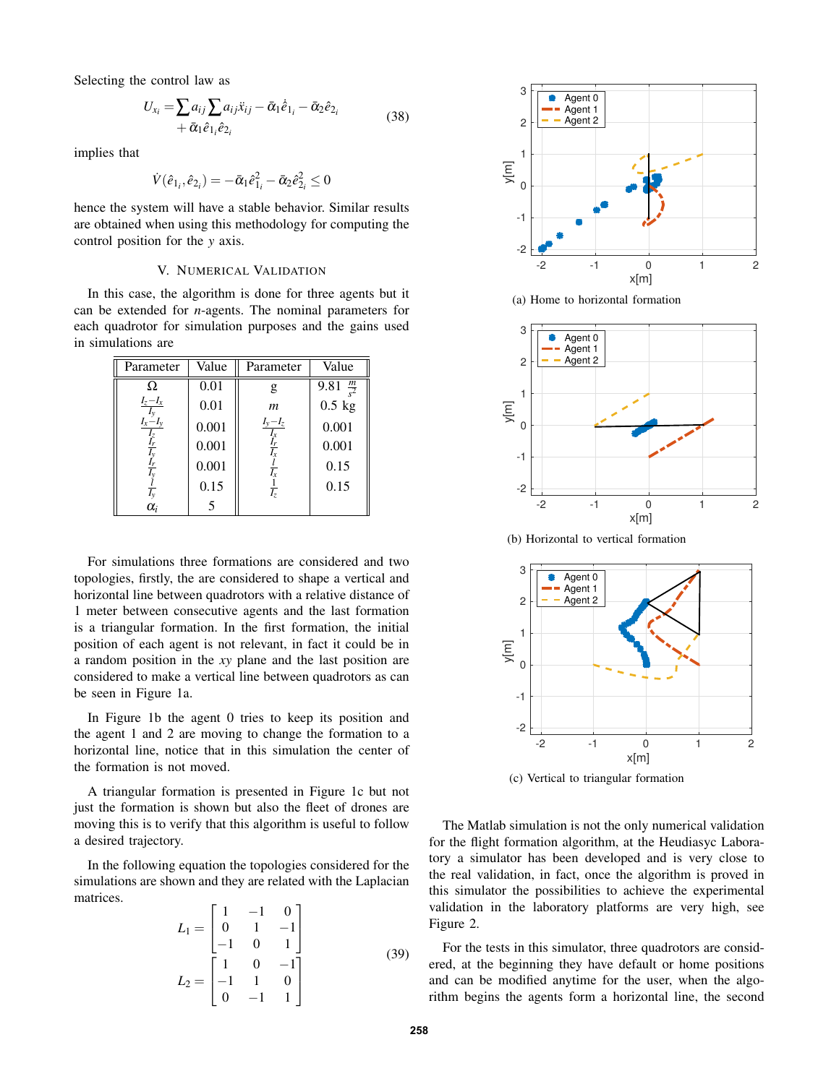Selecting the control law as

$$
U_{x_i} = \sum a_{ij} \sum a_{ij} \ddot{x}_{ij} - \bar{\alpha}_1 \dot{e}_{1_i} - \bar{\alpha}_2 \hat{e}_{2_i}
$$
  
+  $\bar{\alpha}_1 \hat{e}_{1_i} \hat{e}_{2_i}$  (38)

implies that

$$
\dot{V}(\hat{e}_{1_i}, \hat{e}_{2_i}) = -\bar{\alpha}_1 \hat{e}_{1_i}^2 - \bar{\alpha}_2 \hat{e}_{2_i}^2 \le 0
$$

hence the system will have a stable behavior. Similar results are obtained when using this methodology for computing the control position for the *y* axis.

## V. NUMERICAL VALIDATION

In this case, the algorithm is done for three agents but it can be extended for *n*-agents. The nominal parameters for each quadrotor for simulation purposes and the gains used in simulations are

| Parameter                         | Value | Parameter                                                      | Value                |
|-----------------------------------|-------|----------------------------------------------------------------|----------------------|
| Ω                                 | 0.01  | g                                                              | 9.81 $\frac{m}{s^2}$ |
| $I_z - I_x$                       | 0.01  | $\boldsymbol{m}$                                               | $0.5$ kg             |
| $I_x - I_y$                       | 0.001 | $I_y - I_z$                                                    | 0.001                |
| lz<br>Ir                          | 0.001 | $\frac{\overline{I_x}}{\frac{\overline{I_r}}{\overline{I_x}}}$ | 0.001                |
| $I_T$                             | 0.001 | $rac{l}{I_x}$                                                  | 0.15                 |
|                                   | 0.15  | $\frac{1}{I_z}$                                                | 0.15                 |
| $\frac{\overline{I_y}}{\alpha_i}$ | 5     |                                                                |                      |

For simulations three formations are considered and two topologies, firstly, the are considered to shape a vertical and horizontal line between quadrotors with a relative distance of 1 meter between consecutive agents and the last formation is a triangular formation. In the first formation, the initial position of each agent is not relevant, in fact it could be in a random position in the *xy* plane and the last position are considered to make a vertical line between quadrotors as can be seen in Figure 1a.

In Figure 1b the agent 0 tries to keep its position and the agent 1 and 2 are moving to change the formation to a horizontal line, notice that in this simulation the center of the formation is not moved.

A triangular formation is presented in Figure 1c but not just the formation is shown but also the fleet of drones are moving this is to verify that this algorithm is useful to follow a desired trajectory.

In the following equation the topologies considered for the simulations are shown and they are related with the Laplacian matrices.

$$
L_1 = \begin{bmatrix} 1 & -1 & 0 \\ 0 & 1 & -1 \\ -1 & 0 & 1 \end{bmatrix}
$$
  
\n
$$
L_2 = \begin{bmatrix} 1 & 0 & -1 \\ -1 & 1 & 0 \\ 0 & -1 & 1 \end{bmatrix}
$$
 (39)



(a) Home to horizontal formation



(b) Horizontal to vertical formation



(c) Vertical to triangular formation

The Matlab simulation is not the only numerical validation for the flight formation algorithm, at the Heudiasyc Laboratory a simulator has been developed and is very close to the real validation, in fact, once the algorithm is proved in this simulator the possibilities to achieve the experimental validation in the laboratory platforms are very high, see Figure 2.

For the tests in this simulator, three quadrotors are considered, at the beginning they have default or home positions and can be modified anytime for the user, when the algorithm begins the agents form a horizontal line, the second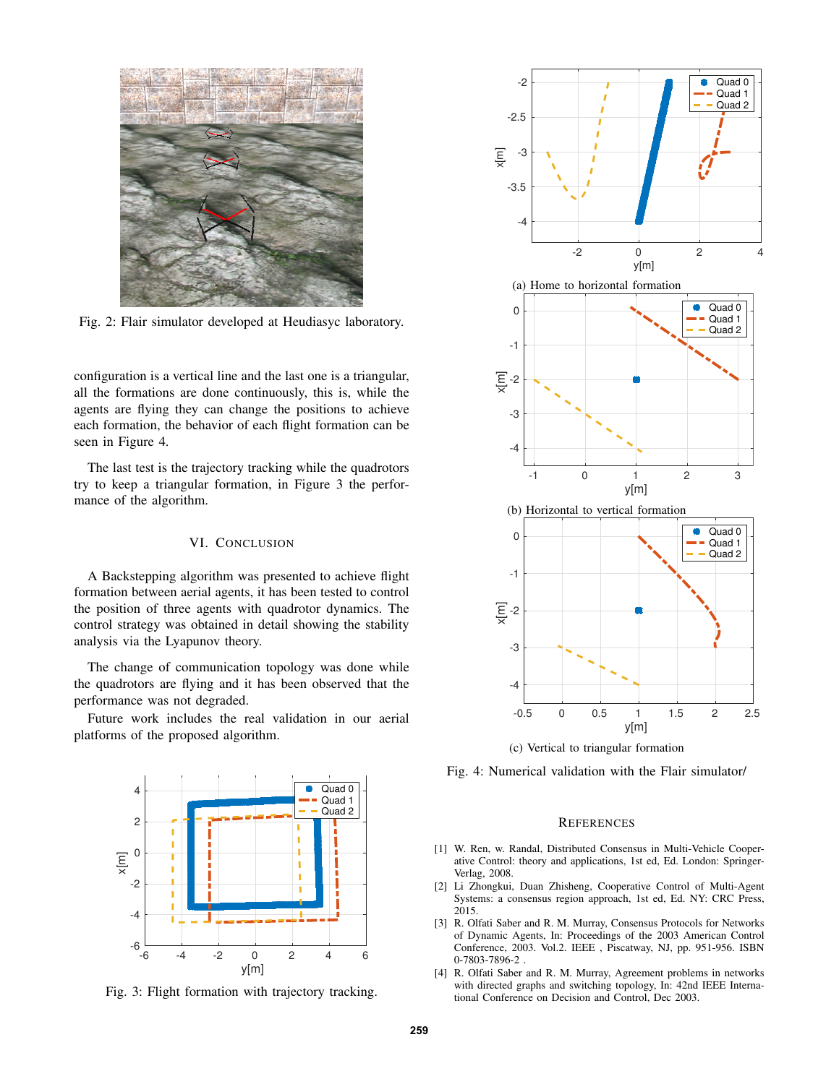

Fig. 2: Flair simulator developed at Heudiasyc laboratory.

configuration is a vertical line and the last one is a triangular, all the formations are done continuously, this is, while the agents are flying they can change the positions to achieve each formation, the behavior of each flight formation can be seen in Figure 4.

The last test is the trajectory tracking while the quadrotors try to keep a triangular formation, in Figure 3 the performance of the algorithm.

## VI. CONCLUSION

A Backstepping algorithm was presented to achieve flight formation between aerial agents, it has been tested to control the position of three agents with quadrotor dynamics. The control strategy was obtained in detail showing the stability analysis via the Lyapunov theory.

The change of communication topology was done while the quadrotors are flying and it has been observed that the performance was not degraded.

Future work includes the real validation in our aerial platforms of the proposed algorithm.



Fig. 3: Flight formation with trajectory tracking.



(c) Vertical to triangular formation

Fig. 4: Numerical validation with the Flair simulator/

#### **REFERENCES**

- [1] W. Ren, w. Randal, Distributed Consensus in Multi-Vehicle Cooperative Control: theory and applications, 1st ed, Ed. London: Springer-Verlag, 2008.
- [2] Li Zhongkui, Duan Zhisheng, Cooperative Control of Multi-Agent Systems: a consensus region approach, 1st ed, Ed. NY: CRC Press, 2015.
- [3] R. Olfati Saber and R. M. Murray, Consensus Protocols for Networks of Dynamic Agents, In: Proceedings of the 2003 American Control Conference, 2003. Vol.2. IEEE , Piscatway, NJ, pp. 951-956. ISBN 0-7803-7896-2 .
- [4] R. Olfati Saber and R. M. Murray, Agreement problems in networks with directed graphs and switching topology, In: 42nd IEEE International Conference on Decision and Control, Dec 2003.